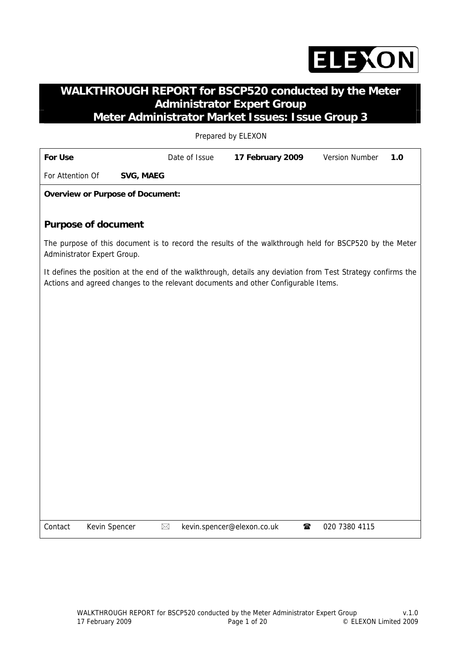

# **WALKTHROUGH REPORT for BSCP520 conducted by the Meter Administrator Expert Group Meter Administrator Market Issues: Issue Group 3**

Prepared by ELEXON

| <b>For Use</b>              |               |                                         | Date of Issue | 17 February 2009                                                                   | <b>Version Number</b><br>1.0                                                                                 |
|-----------------------------|---------------|-----------------------------------------|---------------|------------------------------------------------------------------------------------|--------------------------------------------------------------------------------------------------------------|
| For Attention Of            |               | <b>SVG, MAEG</b>                        |               |                                                                                    |                                                                                                              |
|                             |               | <b>Overview or Purpose of Document:</b> |               |                                                                                    |                                                                                                              |
|                             |               |                                         |               |                                                                                    |                                                                                                              |
| <b>Purpose of document</b>  |               |                                         |               |                                                                                    |                                                                                                              |
| Administrator Expert Group. |               |                                         |               |                                                                                    | The purpose of this document is to record the results of the walkthrough held for BSCP520 by the Meter       |
|                             |               |                                         |               | Actions and agreed changes to the relevant documents and other Configurable Items. | It defines the position at the end of the walkthrough, details any deviation from Test Strategy confirms the |
|                             |               |                                         |               |                                                                                    |                                                                                                              |
|                             |               |                                         |               |                                                                                    |                                                                                                              |
|                             |               |                                         |               |                                                                                    |                                                                                                              |
|                             |               |                                         |               |                                                                                    |                                                                                                              |
|                             |               |                                         |               |                                                                                    |                                                                                                              |
|                             |               |                                         |               |                                                                                    |                                                                                                              |
|                             |               |                                         |               |                                                                                    |                                                                                                              |
|                             |               |                                         |               |                                                                                    |                                                                                                              |
|                             |               |                                         |               |                                                                                    |                                                                                                              |
|                             |               |                                         |               |                                                                                    |                                                                                                              |
|                             |               |                                         |               |                                                                                    |                                                                                                              |
|                             |               |                                         |               |                                                                                    |                                                                                                              |
|                             |               |                                         |               |                                                                                    |                                                                                                              |
| Contact                     | Kevin Spencer |                                         | $\boxtimes$   | ☎<br>kevin.spencer@elexon.co.uk                                                    | 020 7380 4115                                                                                                |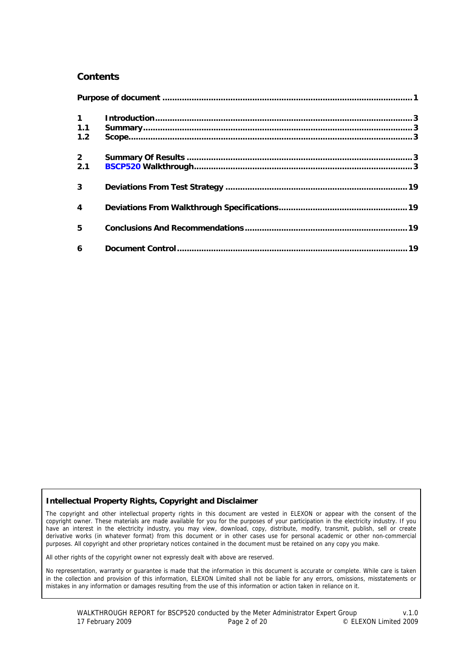#### **Contents**

| $\mathbf 1$             |  |
|-------------------------|--|
| 1.1                     |  |
| 1.2                     |  |
| 2 <sup>1</sup>          |  |
| 2.1                     |  |
| 3                       |  |
| $\overline{\mathbf{4}}$ |  |
| 5                       |  |
| 6                       |  |

#### **Intellectual Property Rights, Copyright and Disclaimer**

The copyright and other intellectual property rights in this document are vested in ELEXON or appear with the consent of the copyright owner. These materials are made available for you for the purposes of your participation in the electricity industry. If you have an interest in the electricity industry, you may view, download, copy, distribute, modify, transmit, publish, sell or create derivative works (in whatever format) from this document or in other cases use for personal academic or other non-commercial purposes. All copyright and other proprietary notices contained in the document must be retained on any copy you make.

All other rights of the copyright owner not expressly dealt with above are reserved.

No representation, warranty or guarantee is made that the information in this document is accurate or complete. While care is taken in the collection and provision of this information, ELEXON Limited shall not be liable for any errors, omissions, misstatements or mistakes in any information or damages resulting from the use of this information or action taken in reliance on it.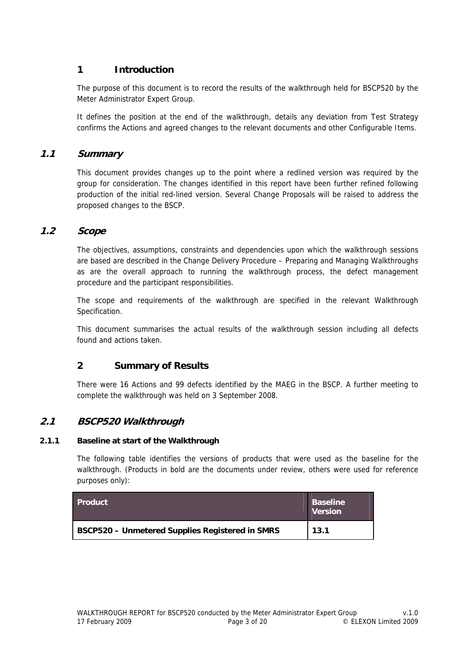## **1 Introduction**

The purpose of this document is to record the results of the walkthrough held for BSCP520 by the Meter Administrator Expert Group.

It defines the position at the end of the walkthrough, details any deviation from Test Strategy confirms the Actions and agreed changes to the relevant documents and other Configurable Items.

#### **1.1 Summary**

This document provides changes up to the point where a redlined version was required by the group for consideration. The changes identified in this report have been further refined following production of the initial red-lined version. Several Change Proposals will be raised to address the proposed changes to the BSCP.

#### **1.2 Scope**

The objectives, assumptions, constraints and dependencies upon which the walkthrough sessions are based are described in the Change Delivery Procedure – Preparing and Managing Walkthroughs as are the overall approach to running the walkthrough process, the defect management procedure and the participant responsibilities.

The scope and requirements of the walkthrough are specified in the relevant Walkthrough Specification.

This document summarises the actual results of the walkthrough session including all defects found and actions taken.

#### **2 Summary of Results**

There were 16 Actions and 99 defects identified by the MAEG in the BSCP. A further meeting to complete the walkthrough was held on 3 September 2008.

#### **2.1 BSCP520 Walkthrough**

#### **2.1.1 Baseline at start of the Walkthrough**

The following table identifies the versions of products that were used as the baseline for the walkthrough. (Products in bold are the documents under review, others were used for reference purposes only):

| <b>Product</b>                                         | <b>Baseline</b><br><b>Version</b> |
|--------------------------------------------------------|-----------------------------------|
| <b>BSCP520 - Unmetered Supplies Registered in SMRS</b> | 13.1                              |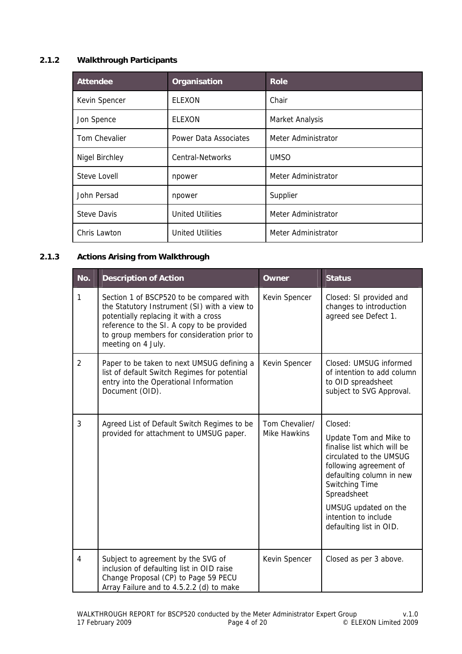## **2.1.2 Walkthrough Participants**

| <b>Attendee</b>       | Organisation            | <b>Role</b>         |
|-----------------------|-------------------------|---------------------|
| Kevin Spencer         | <b>ELEXON</b>           | Chair               |
| Jon Spence            | <b>ELEXON</b>           | Market Analysis     |
| Tom Chevalier         | Power Data Associates   | Meter Administrator |
| <b>Nigel Birchley</b> | Central-Networks        | <b>UMSO</b>         |
| Steve Lovell          | npower                  | Meter Administrator |
| John Persad           | npower                  | Supplier            |
| <b>Steve Davis</b>    | <b>United Utilities</b> | Meter Administrator |
| Chris Lawton          | <b>United Utilities</b> | Meter Administrator |

#### **2.1.3 Actions Arising from Walkthrough**

| No.            | <b>Description of Action</b>                                                                                                                                                                                                                         | Owner                          | <b>Status</b>                                                                                                                                                                                                                                                 |
|----------------|------------------------------------------------------------------------------------------------------------------------------------------------------------------------------------------------------------------------------------------------------|--------------------------------|---------------------------------------------------------------------------------------------------------------------------------------------------------------------------------------------------------------------------------------------------------------|
| 1              | Section 1 of BSCP520 to be compared with<br>the Statutory Instrument (SI) with a view to<br>potentially replacing it with a cross<br>reference to the SI. A copy to be provided<br>to group members for consideration prior to<br>meeting on 4 July. | Kevin Spencer                  | Closed: SI provided and<br>changes to introduction<br>agreed see Defect 1.                                                                                                                                                                                    |
| $\overline{2}$ | Paper to be taken to next UMSUG defining a<br>list of default Switch Regimes for potential<br>entry into the Operational Information<br>Document (OID).                                                                                              | Kevin Spencer                  | Closed: UMSUG informed<br>of intention to add column<br>to OID spreadsheet<br>subject to SVG Approval.                                                                                                                                                        |
| 3              | Agreed List of Default Switch Regimes to be<br>provided for attachment to UMSUG paper.                                                                                                                                                               | Tom Chevalier/<br>Mike Hawkins | Closed:<br>Update Tom and Mike to<br>finalise list which will be<br>circulated to the UMSUG<br>following agreement of<br>defaulting column in new<br>Switching Time<br>Spreadsheet<br>UMSUG updated on the<br>intention to include<br>defaulting list in OID. |
| 4              | Subject to agreement by the SVG of<br>inclusion of defaulting list in OID raise<br>Change Proposal (CP) to Page 59 PECU<br>Array Failure and to 4.5.2.2 (d) to make                                                                                  | Kevin Spencer                  | Closed as per 3 above.                                                                                                                                                                                                                                        |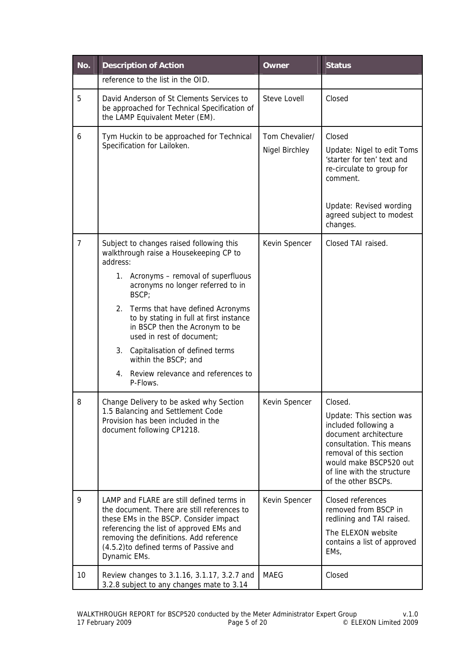| No.            | <b>Description of Action</b>                                                                                                                                                                                                                                                                                                                                                                                                                                      | Owner                            | <b>Status</b>                                                                                                                                                                                                              |
|----------------|-------------------------------------------------------------------------------------------------------------------------------------------------------------------------------------------------------------------------------------------------------------------------------------------------------------------------------------------------------------------------------------------------------------------------------------------------------------------|----------------------------------|----------------------------------------------------------------------------------------------------------------------------------------------------------------------------------------------------------------------------|
|                | reference to the list in the OID.                                                                                                                                                                                                                                                                                                                                                                                                                                 |                                  |                                                                                                                                                                                                                            |
| 5              | David Anderson of St Clements Services to<br>be approached for Technical Specification of<br>the LAMP Equivalent Meter (EM).                                                                                                                                                                                                                                                                                                                                      | <b>Steve Lovell</b>              | Closed                                                                                                                                                                                                                     |
| 6              | Tym Huckin to be approached for Technical<br>Specification for Lailoken.                                                                                                                                                                                                                                                                                                                                                                                          | Tom Chevalier/<br>Nigel Birchley | Closed<br>Update: Nigel to edit Toms<br>'starter for ten' text and<br>re-circulate to group for<br>comment.<br>Update: Revised wording<br>agreed subject to modest<br>changes.                                             |
| $\overline{7}$ | Subject to changes raised following this<br>walkthrough raise a Housekeeping CP to<br>address:<br>1. Acronyms - removal of superfluous<br>acronyms no longer referred to in<br>BSCP;<br>2.<br>Terms that have defined Acronyms<br>to by stating in full at first instance<br>in BSCP then the Acronym to be<br>used in rest of document;<br>3.<br>Capitalisation of defined terms<br>within the BSCP; and<br>Review relevance and references to<br>4.<br>P-Flows. | Kevin Spencer                    | Closed TAI raised.                                                                                                                                                                                                         |
| 8              | Change Delivery to be asked why Section<br>1.5 Balancing and Settlement Code<br>Provision has been included in the<br>document following CP1218.                                                                                                                                                                                                                                                                                                                  | Kevin Spencer                    | Closed.<br>Update: This section was<br>included following a<br>document architecture<br>consultation. This means<br>removal of this section<br>would make BSCP520 out<br>of line with the structure<br>of the other BSCPs. |
| 9              | LAMP and FLARE are still defined terms in<br>the document. There are still references to<br>these EMs in the BSCP. Consider impact<br>referencing the list of approved EMs and<br>removing the definitions. Add reference<br>(4.5.2) to defined terms of Passive and<br>Dynamic EMs.                                                                                                                                                                              | Kevin Spencer                    | Closed references<br>removed from BSCP in<br>redlining and TAI raised.<br>The ELEXON website<br>contains a list of approved<br>EMs,                                                                                        |
| 10             | Review changes to 3.1.16, 3.1.17, 3.2.7 and<br>3.2.8 subject to any changes mate to 3.14                                                                                                                                                                                                                                                                                                                                                                          | <b>MAEG</b>                      | Closed                                                                                                                                                                                                                     |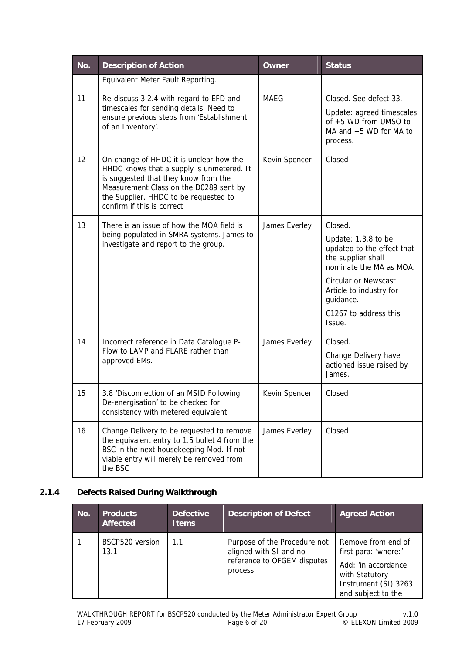| No. | <b>Description of Action</b>                                                                                                                                                                                                                  | <b>Owner</b>  | <b>Status</b>                                                                                                                                                                                                |
|-----|-----------------------------------------------------------------------------------------------------------------------------------------------------------------------------------------------------------------------------------------------|---------------|--------------------------------------------------------------------------------------------------------------------------------------------------------------------------------------------------------------|
|     | Equivalent Meter Fault Reporting.                                                                                                                                                                                                             |               |                                                                                                                                                                                                              |
| 11  | Re-discuss 3.2.4 with regard to EFD and<br>timescales for sending details. Need to<br>ensure previous steps from 'Establishment<br>of an Inventory'.                                                                                          | <b>MAEG</b>   | Closed. See defect 33.<br>Update: agreed timescales<br>of +5 WD from UMSO to<br>MA and $+5$ WD for MA to<br>process.                                                                                         |
| 12  | On change of HHDC it is unclear how the<br>HHDC knows that a supply is unmetered. It<br>is suggested that they know from the<br>Measurement Class on the D0289 sent by<br>the Supplier. HHDC to be requested to<br>confirm if this is correct | Kevin Spencer | Closed                                                                                                                                                                                                       |
| 13  | There is an issue of how the MOA field is                                                                                                                                                                                                     | James Everley | Closed.                                                                                                                                                                                                      |
|     | being populated in SMRA systems. James to<br>investigate and report to the group.                                                                                                                                                             |               | Update: 1.3.8 to be<br>updated to the effect that<br>the supplier shall<br>nominate the MA as MOA.<br><b>Circular or Newscast</b><br>Article to industry for<br>guidance.<br>C1267 to address this<br>Issue. |
| 14  | Incorrect reference in Data Catalogue P-                                                                                                                                                                                                      | James Everley | Closed.                                                                                                                                                                                                      |
|     | Flow to LAMP and FLARE rather than<br>approved EMs.                                                                                                                                                                                           |               | Change Delivery have<br>actioned issue raised by<br>James.                                                                                                                                                   |
| 15  | 3.8 'Disconnection of an MSID Following<br>De-energisation' to be checked for<br>consistency with metered equivalent.                                                                                                                         | Kevin Spencer | Closed                                                                                                                                                                                                       |
| 16  | Change Delivery to be requested to remove<br>the equivalent entry to 1.5 bullet 4 from the<br>BSC in the next housekeeping Mod. If not<br>viable entry will merely be removed from<br>the BSC                                                 | James Everley | Closed                                                                                                                                                                                                       |

## **2.1.4 Defects Raised During Walkthrough**

| No. | <b>Products</b><br><b>Affected</b> | <b>Defective</b><br><b>Items</b> | <b>Description of Defect</b>                                                                      | <b>Agreed Action</b>                                                                                                              |
|-----|------------------------------------|----------------------------------|---------------------------------------------------------------------------------------------------|-----------------------------------------------------------------------------------------------------------------------------------|
|     | BSCP520 version<br>13.1            | 1.1                              | Purpose of the Procedure not<br>aligned with SI and no<br>reference to OFGEM disputes<br>process. | Remove from end of<br>first para: 'where:'<br>Add: 'in accordance<br>with Statutory<br>Instrument (SI) 3263<br>and subject to the |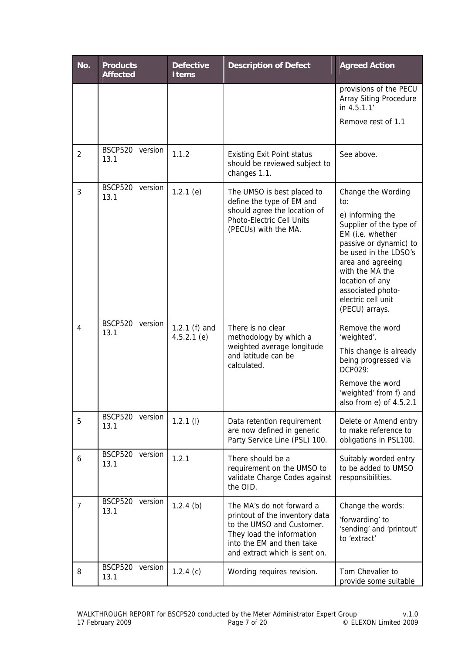| No.            | <b>Products</b><br><b>Affected</b> | <b>Defective</b><br><b>Items</b> | <b>Description of Defect</b>                                                                                                                                                        | <b>Agreed Action</b>                                                                                                                                                                                                                                                    |
|----------------|------------------------------------|----------------------------------|-------------------------------------------------------------------------------------------------------------------------------------------------------------------------------------|-------------------------------------------------------------------------------------------------------------------------------------------------------------------------------------------------------------------------------------------------------------------------|
|                |                                    |                                  |                                                                                                                                                                                     | provisions of the PECU<br>Array Siting Procedure<br>in 4.5.1.1'                                                                                                                                                                                                         |
|                |                                    |                                  |                                                                                                                                                                                     | Remove rest of 1.1                                                                                                                                                                                                                                                      |
| $\overline{2}$ | <b>BSCP520</b><br>version<br>13.1  | 1.1.2                            | <b>Existing Exit Point status</b><br>should be reviewed subject to<br>changes 1.1.                                                                                                  | See above.                                                                                                                                                                                                                                                              |
| 3              | <b>BSCP520</b><br>version<br>13.1  | $1.2.1$ (e)                      | The UMSO is best placed to<br>define the type of EM and<br>should agree the location of<br>Photo-Electric Cell Units<br>(PECUs) with the MA.                                        | Change the Wording<br>to:<br>e) informing the<br>Supplier of the type of<br>EM (i.e. whether<br>passive or dynamic) to<br>be used in the LDSO's<br>area and agreeing<br>with the MA the<br>location of any<br>associated photo-<br>electric cell unit<br>(PECU) arrays. |
| 4              | BSCP520 version<br>13.1            | 1.2.1 $(f)$ and<br>$4.5.2.1$ (e) | There is no clear<br>methodology by which a<br>weighted average longitude<br>and latitude can be<br>calculated.                                                                     | Remove the word<br>'weighted'.<br>This change is already<br>being progressed via<br>DCP029:<br>Remove the word<br>'weighted' from f) and<br>also from e) of 4.5.2.1                                                                                                     |
| 5              | BSCP520 version<br>13.1            | $1.2.1$ (l)                      | Data retention requirement<br>are now defined in generic<br>Party Service Line (PSL) 100.                                                                                           | Delete or Amend entry<br>to make reference to<br>obligations in PSL100.                                                                                                                                                                                                 |
| 6              | <b>BSCP520</b><br>version<br>13.1  | 1.2.1                            | There should be a<br>requirement on the UMSO to<br>validate Charge Codes against<br>the OID.                                                                                        | Suitably worded entry<br>to be added to UMSO<br>responsibilities.                                                                                                                                                                                                       |
| 7              | BSCP520<br>version<br>13.1         | $1.2.4$ (b)                      | The MA's do not forward a<br>printout of the inventory data<br>to the UMSO and Customer.<br>They load the information<br>into the EM and then take<br>and extract which is sent on. | Change the words:<br>'forwarding' to<br>'sending' and 'printout'<br>to 'extract'                                                                                                                                                                                        |
| 8              | <b>BSCP520</b><br>version<br>13.1  | $1.2.4$ (c)                      | Wording requires revision.                                                                                                                                                          | Tom Chevalier to<br>provide some suitable                                                                                                                                                                                                                               |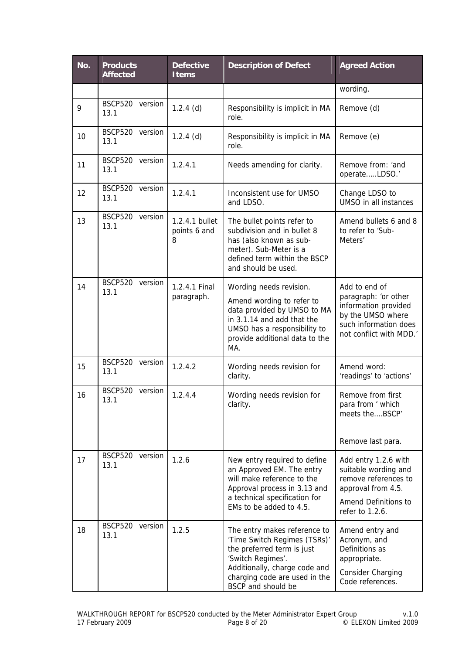| No. | <b>Products</b><br><b>Affected</b> | <b>Defective</b><br><b>Items</b>    | <b>Description of Defect</b>                                                                                                                                                                            | <b>Agreed Action</b>                                                                                                                   |
|-----|------------------------------------|-------------------------------------|---------------------------------------------------------------------------------------------------------------------------------------------------------------------------------------------------------|----------------------------------------------------------------------------------------------------------------------------------------|
|     |                                    |                                     |                                                                                                                                                                                                         | wording.                                                                                                                               |
| 9   | BSCP520<br>version<br>13.1         | $1.2.4$ (d)                         | Responsibility is implicit in MA<br>role.                                                                                                                                                               | Remove (d)                                                                                                                             |
| 10  | <b>BSCP520</b><br>version<br>13.1  | $1.2.4$ (d)                         | Responsibility is implicit in MA<br>role.                                                                                                                                                               | Remove (e)                                                                                                                             |
| 11  | <b>BSCP520</b><br>version<br>13.1  | 1.2.4.1                             | Needs amending for clarity.                                                                                                                                                                             | Remove from: 'and<br>operateLDSO.'                                                                                                     |
| 12  | <b>BSCP520</b><br>version<br>13.1  | 1.2.4.1                             | Inconsistent use for UMSO<br>and LDSO.                                                                                                                                                                  | Change LDSO to<br>UMSO in all instances                                                                                                |
| 13  | <b>BSCP520</b><br>version<br>13.1  | 1.2.4.1 bullet<br>points 6 and<br>8 | The bullet points refer to<br>subdivision and in bullet 8<br>has (also known as sub-<br>meter). Sub-Meter is a<br>defined term within the BSCP<br>and should be used.                                   | Amend bullets 6 and 8<br>to refer to 'Sub-<br>Meters'                                                                                  |
| 14  | <b>BSCP520</b><br>version<br>13.1  | 1.2.4.1 Final<br>paragraph.         | Wording needs revision.<br>Amend wording to refer to<br>data provided by UMSO to MA<br>in 3.1.14 and add that the<br>UMSO has a responsibility to<br>provide additional data to the<br>MA.              | Add to end of<br>paragraph: 'or other<br>information provided<br>by the UMSO where<br>such information does<br>not conflict with MDD.' |
| 15  | <b>BSCP520</b><br>version<br>13.1  | 1.2.4.2                             | Wording needs revision for<br>clarity.                                                                                                                                                                  | Amend word:<br>'readings' to 'actions'                                                                                                 |
| 16  | <b>BSCP520</b><br>version<br>13.1  | 1.2.4.4                             | Wording needs revision for<br>clarity.                                                                                                                                                                  | Remove from first<br>para from ' which<br>meets theBSCP'<br>Remove last para.                                                          |
| 17  | BSCP520 version<br>13.1            | 1.2.6                               | New entry required to define<br>an Approved EM. The entry<br>will make reference to the<br>Approval process in 3.13 and<br>a technical specification for<br>EMs to be added to 4.5.                     | Add entry 1.2.6 with<br>suitable wording and<br>remove references to<br>approval from 4.5.<br>Amend Definitions to<br>refer to 1.2.6.  |
| 18  | <b>BSCP520</b><br>version<br>13.1  | 1.2.5                               | The entry makes reference to<br>'Time Switch Regimes (TSRs)'<br>the preferred term is just<br>'Switch Regimes'.<br>Additionally, charge code and<br>charging code are used in the<br>BSCP and should be | Amend entry and<br>Acronym, and<br>Definitions as<br>appropriate.<br>Consider Charging<br>Code references.                             |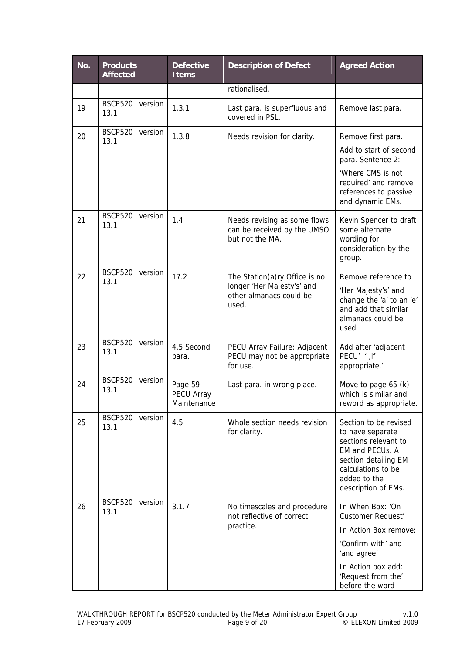| No. | <b>Products</b><br><b>Affected</b> | <b>Defective</b><br><b>Items</b>     | <b>Description of Defect</b>                                                                    | <b>Agreed Action</b>                                                                                                                                                      |
|-----|------------------------------------|--------------------------------------|-------------------------------------------------------------------------------------------------|---------------------------------------------------------------------------------------------------------------------------------------------------------------------------|
|     |                                    |                                      | rationalised.                                                                                   |                                                                                                                                                                           |
| 19  | <b>BSCP520</b><br>version<br>13.1  | 1.3.1                                | Last para. is superfluous and<br>covered in PSL.                                                | Remove last para.                                                                                                                                                         |
| 20  | <b>BSCP520</b><br>version<br>13.1  | 1.3.8                                | Needs revision for clarity.                                                                     | Remove first para.                                                                                                                                                        |
|     |                                    |                                      |                                                                                                 | Add to start of second<br>para. Sentence 2:                                                                                                                               |
|     |                                    |                                      |                                                                                                 | 'Where CMS is not<br>required' and remove<br>references to passive<br>and dynamic EMs.                                                                                    |
| 21  | <b>BSCP520</b><br>version<br>13.1  | 1.4                                  | Needs revising as some flows<br>can be received by the UMSO<br>but not the MA.                  | Kevin Spencer to draft<br>some alternate<br>wording for<br>consideration by the<br>group.                                                                                 |
| 22  | <b>BSCP520</b><br>version<br>13.1  | 17.2                                 | The Station(a)ry Office is no<br>longer 'Her Majesty's' and<br>other almanacs could be<br>used. | Remove reference to<br>'Her Majesty's' and<br>change the 'a' to an 'e'<br>and add that similar<br>almanacs could be<br>used.                                              |
| 23  | <b>BSCP520</b><br>version<br>13.1  | 4.5 Second<br>para.                  | PECU Array Failure: Adjacent<br>PECU may not be appropriate<br>for use.                         | Add after 'adjacent<br>PECU' ', if<br>appropriate,'                                                                                                                       |
| 24  | <b>BSCP520</b><br>version<br>13.1  | Page 59<br>PECU Array<br>Maintenance | Last para. in wrong place.                                                                      | Move to page 65 (k)<br>which is similar and<br>reword as appropriate.                                                                                                     |
| 25  | BSCP520<br>version<br>13.1         | 4.5                                  | Whole section needs revision<br>for clarity.                                                    | Section to be revised<br>to have separate<br>sections relevant to<br>EM and PECUs. A<br>section detailing EM<br>calculations to be<br>added to the<br>description of EMs. |
| 26  | <b>BSCP520</b><br>version<br>13.1  | 3.1.7                                | No timescales and procedure<br>not reflective of correct<br>practice.                           | In When Box: 'On<br>Customer Request'<br>In Action Box remove:<br>'Confirm with' and<br>'and agree'<br>In Action box add:<br>'Request from the'<br>before the word        |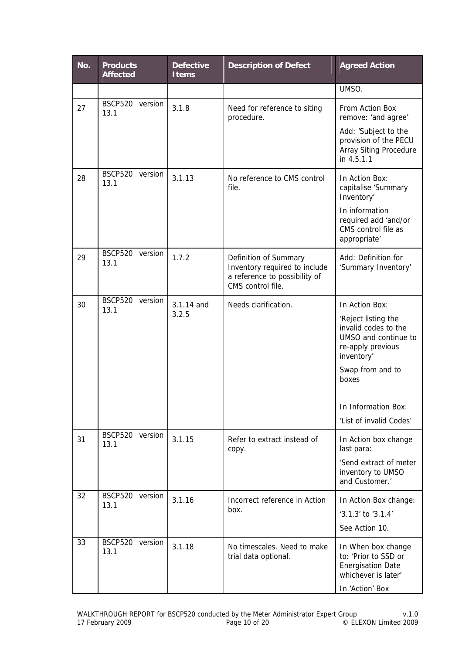| No. | <b>Products</b><br><b>Affected</b> | <b>Defective</b><br><b>Items</b> | <b>Description of Defect</b>                                                                                 | <b>Agreed Action</b>                                                                                                                                                                                    |
|-----|------------------------------------|----------------------------------|--------------------------------------------------------------------------------------------------------------|---------------------------------------------------------------------------------------------------------------------------------------------------------------------------------------------------------|
|     |                                    |                                  |                                                                                                              | UMSO.                                                                                                                                                                                                   |
| 27  | <b>BSCP520</b><br>version<br>13.1  | 3.1.8                            | Need for reference to siting<br>procedure.                                                                   | From Action Box<br>remove: 'and agree'<br>Add: 'Subject to the<br>provision of the PECU<br>Array Siting Procedure<br>in 4.5.1.1                                                                         |
| 28  | BSCP520 version<br>13.1            | 3.1.13                           | No reference to CMS control<br>file.                                                                         | In Action Box:<br>capitalise 'Summary<br>Inventory'<br>In information<br>required add 'and/or<br>CMS control file as<br>appropriate'                                                                    |
| 29  | BSCP520<br>version<br>13.1         | 1.7.2                            | Definition of Summary<br>Inventory required to include<br>a reference to possibility of<br>CMS control file. | Add: Definition for<br>'Summary Inventory'                                                                                                                                                              |
| 30  | BSCP520 version<br>13.1            | 3.1.14 and<br>3.2.5              | Needs clarification.                                                                                         | In Action Box:<br>'Reject listing the<br>invalid codes to the<br>UMSO and continue to<br>re-apply previous<br>inventory'<br>Swap from and to<br>boxes<br>In Information Box:<br>'List of invalid Codes' |
| 31  | <b>BSCP520</b><br>version<br>13.1  | 3.1.15                           | Refer to extract instead of<br>copy.                                                                         | In Action box change<br>last para:<br>'Send extract of meter<br>inventory to UMSO<br>and Customer.'                                                                                                     |
| 32  | BSCP520<br>version<br>13.1         | 3.1.16                           | Incorrect reference in Action<br>box.                                                                        | In Action Box change:<br>'3.1.3' to '3.1.4'<br>See Action 10.                                                                                                                                           |
| 33  | BSCP520 version<br>13.1            | 3.1.18                           | No timescales. Need to make<br>trial data optional.                                                          | In When box change<br>to: 'Prior to SSD or<br><b>Energisation Date</b><br>whichever is later'<br>In 'Action' Box                                                                                        |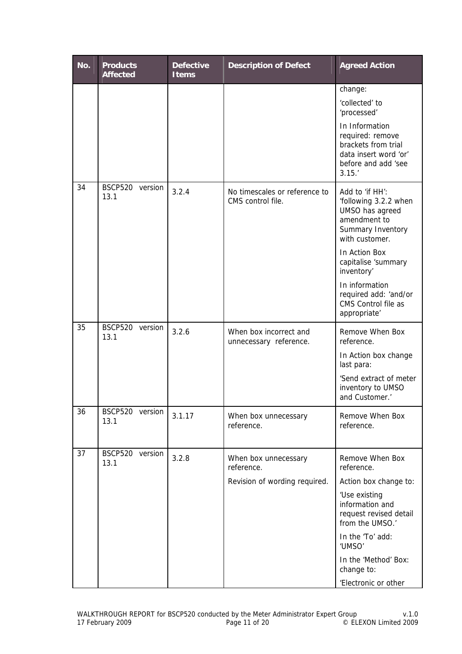| No. | <b>Products</b><br><b>Affected</b> | <b>Defective</b><br><b>Items</b> | <b>Description of Defect</b>                                        | <b>Agreed Action</b>                                                                                                                                                                                                                                       |
|-----|------------------------------------|----------------------------------|---------------------------------------------------------------------|------------------------------------------------------------------------------------------------------------------------------------------------------------------------------------------------------------------------------------------------------------|
|     |                                    |                                  |                                                                     | change:<br>'collected' to<br>'processed'<br>In Information<br>required: remove<br>brackets from trial<br>data insert word 'or'<br>before and add 'see<br>3.15.'                                                                                            |
| 34  | <b>BSCP520</b><br>version<br>13.1  | 3.2.4                            | No timescales or reference to<br>CMS control file.                  | Add to 'if HH':<br>'following 3.2.2 when<br>UMSO has agreed<br>amendment to<br>Summary Inventory<br>with customer.<br>In Action Box<br>capitalise 'summary<br>inventory'<br>In information<br>required add: 'and/or<br>CMS Control file as<br>appropriate' |
| 35  | BSCP520 version<br>13.1            | 3.2.6                            | When box incorrect and<br>unnecessary reference.                    | Remove When Box<br>reference.<br>In Action box change<br>last para:<br>'Send extract of meter<br>inventory to UMSO<br>and Customer.'                                                                                                                       |
| 36  | BSCP520 version<br>13.1            | 3.1.17                           | When box unnecessary<br>reference.                                  | Remove When Box<br>reference.                                                                                                                                                                                                                              |
| 37  | <b>BSCP520</b><br>version<br>13.1  | 3.2.8                            | When box unnecessary<br>reference.<br>Revision of wording required. | Remove When Box<br>reference.<br>Action box change to:<br>'Use existing<br>information and<br>request revised detail<br>from the UMSO.'<br>In the 'To' add:<br>'UMSO'<br>In the 'Method' Box:<br>change to:<br>'Electronic or other                        |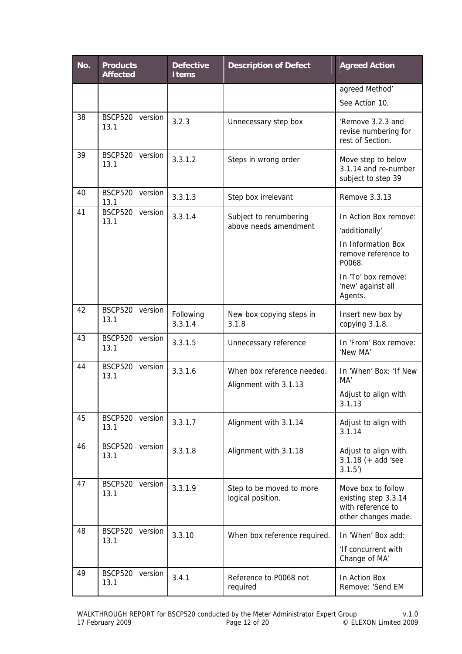| No. | <b>Products</b><br><b>Affected</b> | <b>Defective</b><br><b>Items</b> | <b>Description of Defect</b>                        | <b>Agreed Action</b>                                                                                                                                  |
|-----|------------------------------------|----------------------------------|-----------------------------------------------------|-------------------------------------------------------------------------------------------------------------------------------------------------------|
|     |                                    |                                  |                                                     | agreed Method'<br>See Action 10.                                                                                                                      |
| 38  | BSCP520 version<br>13.1            | 3.2.3                            | Unnecessary step box                                | 'Remove 3.2.3 and<br>revise numbering for<br>rest of Section.                                                                                         |
| 39  | BSCP520 version<br>13.1            | 3.3.1.2                          | Steps in wrong order                                | Move step to below<br>3.1.14 and re-number<br>subject to step 39                                                                                      |
| 40  | BSCP520 version<br>13.1            | 3.3.1.3                          | Step box irrelevant                                 | Remove 3.3.13                                                                                                                                         |
| 41  | BSCP520 version<br>13.1            | 3.3.1.4                          | Subject to renumbering<br>above needs amendment     | In Action Box remove:<br>'additionally'<br>In Information Box<br>remove reference to<br>P0068.<br>In 'To' box remove:<br>'new' against all<br>Agents. |
| 42  | BSCP520 version<br>13.1            | Following<br>3.3.1.4             | New box copying steps in<br>3.1.8                   | Insert new box by<br>copying 3.1.8.                                                                                                                   |
| 43  | BSCP520 version<br>13.1            | 3.3.1.5                          | Unnecessary reference                               | In 'From' Box remove:<br>'New MA'                                                                                                                     |
| 44  | <b>BSCP520</b><br>version<br>13.1  | 3.3.1.6                          | When box reference needed.<br>Alignment with 3.1.13 | In 'When' Box: 'If New<br>MA'<br>Adjust to align with<br>3.1.13                                                                                       |
| 45  | <b>BSCP520</b><br>version<br>13.1  | 3.3.1.7                          | Alignment with 3.1.14                               | Adjust to align with<br>3.1.14                                                                                                                        |
| 46  | <b>BSCP520</b><br>version<br>13.1  | 3.3.1.8                          | Alignment with 3.1.18                               | Adjust to align with<br>$3.1.18 (+ add 'see)$<br>3.1.5'                                                                                               |
| 47  | <b>BSCP520</b><br>version<br>13.1  | 3.3.1.9                          | Step to be moved to more<br>logical position.       | Move box to follow<br>existing step 3.3.14<br>with reference to<br>other changes made.                                                                |
| 48  | <b>BSCP520</b><br>version<br>13.1  | 3.3.10                           | When box reference required.                        | In 'When' Box add:<br>'If concurrent with<br>Change of MA'                                                                                            |
| 49  | <b>BSCP520</b><br>version<br>13.1  | 3.4.1                            | Reference to P0068 not<br>required                  | In Action Box<br>Remove: 'Send EM                                                                                                                     |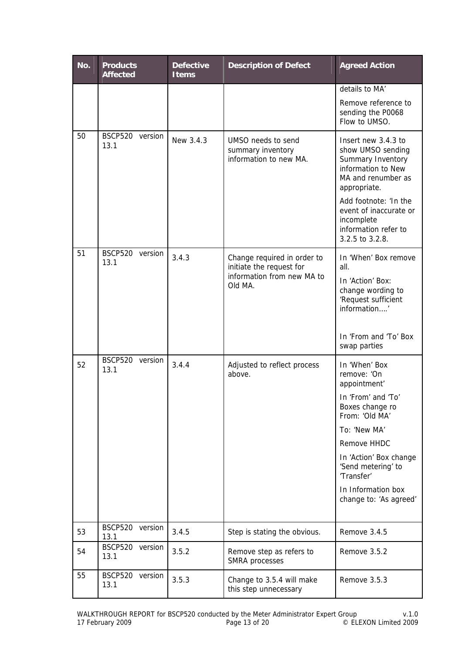| No. | <b>Products</b><br><b>Affected</b> | <b>Defective</b><br><b>Items</b> | <b>Description of Defect</b>                                                                     | <b>Agreed Action</b>                                                                                                                                                                                                                                 |
|-----|------------------------------------|----------------------------------|--------------------------------------------------------------------------------------------------|------------------------------------------------------------------------------------------------------------------------------------------------------------------------------------------------------------------------------------------------------|
|     |                                    |                                  |                                                                                                  | details to MA'                                                                                                                                                                                                                                       |
|     |                                    |                                  |                                                                                                  | Remove reference to<br>sending the P0068<br>Flow to UMSO.                                                                                                                                                                                            |
| 50  | BSCP520 version<br>13.1            | New 3.4.3                        | UMSO needs to send<br>summary inventory<br>information to new MA.                                | Insert new 3.4.3 to<br>show UMSO sending<br>Summary Inventory<br>information to New<br>MA and renumber as<br>appropriate.<br>Add footnote: 'In the<br>event of inaccurate or<br>incomplete<br>information refer to<br>3.2.5 to 3.2.8.                |
| 51  | <b>BSCP520</b><br>version<br>13.1  | 3.4.3                            | Change required in order to<br>initiate the request for<br>information from new MA to<br>Old MA. | In 'When' Box remove<br>all.<br>In 'Action' Box:<br>change wording to<br>'Request sufficient<br>information'<br>In 'From and 'To' Box<br>swap parties                                                                                                |
| 52  | BSCP520 version<br>13.1            | 3.4.4                            | Adjusted to reflect process<br>above.                                                            | In 'When' Box<br>remove: 'On<br>appointment'<br>In 'From' and 'To'<br>Boxes change ro<br>From: 'Old MA'<br>To: 'New MA'<br>Remove HHDC<br>In 'Action' Box change<br>'Send metering' to<br>'Transfer'<br>In Information box<br>change to: 'As agreed' |
| 53  | BSCP520 version<br>13.1            | 3.4.5                            | Step is stating the obvious.                                                                     | Remove 3.4.5                                                                                                                                                                                                                                         |
| 54  | BSCP520 version<br>13.1            | 3.5.2                            | Remove step as refers to<br>SMRA processes                                                       | Remove 3.5.2                                                                                                                                                                                                                                         |
| 55  | BSCP520 version<br>13.1            | 3.5.3                            | Change to 3.5.4 will make<br>this step unnecessary                                               | Remove 3.5.3                                                                                                                                                                                                                                         |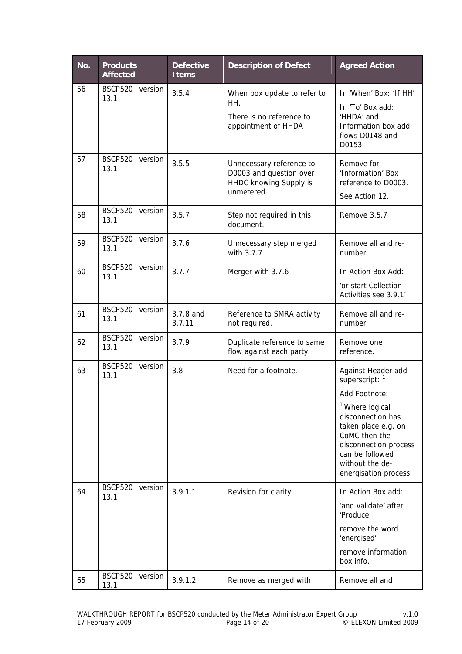| No. | <b>Products</b><br><b>Affected</b> | <b>Defective</b><br><b>Items</b> | <b>Description of Defect</b>                                                                | <b>Agreed Action</b>                                                                                                                                                                                                               |
|-----|------------------------------------|----------------------------------|---------------------------------------------------------------------------------------------|------------------------------------------------------------------------------------------------------------------------------------------------------------------------------------------------------------------------------------|
| 56  | BSCP520 version<br>13.1            | 3.5.4                            | When box update to refer to<br>HH.<br>There is no reference to<br>appointment of HHDA       | In 'When' Box: 'If HH'<br>In 'To' Box add:<br>'HHDA' and<br>Information box add<br>flows D0148 and<br>D0153.                                                                                                                       |
| 57  | <b>BSCP520</b><br>version<br>13.1  | 3.5.5                            | Unnecessary reference to<br>D0003 and question over<br>HHDC knowing Supply is<br>unmetered. | Remove for<br>'Information' Box<br>reference to D0003.<br>See Action 12.                                                                                                                                                           |
| 58  | BSCP520 version<br>13.1            | 3.5.7                            | Step not required in this<br>document.                                                      | Remove 3.5.7                                                                                                                                                                                                                       |
| 59  | BSCP520 version<br>13.1            | 3.7.6                            | Unnecessary step merged<br>with 3.7.7                                                       | Remove all and re-<br>number                                                                                                                                                                                                       |
| 60  | BSCP520 version<br>13.1            | 3.7.7                            | Merger with 3.7.6                                                                           | In Action Box Add:<br>'or start Collection<br>Activities see 3.9.1'                                                                                                                                                                |
| 61  | BSCP520 version<br>13.1            | 3.7.8 and<br>3.7.11              | Reference to SMRA activity<br>not required.                                                 | Remove all and re-<br>number                                                                                                                                                                                                       |
| 62  | BSCP520 version<br>13.1            | 3.7.9                            | Duplicate reference to same<br>flow against each party.                                     | Remove one<br>reference.                                                                                                                                                                                                           |
| 63  | BSCP520 version<br>13.1            | 3.8                              | Need for a footnote.                                                                        | Against Header add<br>superscript: $1$<br>Add Footnote:<br>1<br>Where logical<br>disconnection has<br>taken place e.g. on<br>CoMC then the<br>disconnection process<br>can be followed<br>without the de-<br>energisation process. |
| 64  | BSCP520<br>version<br>13.1         | 3.9.1.1                          | Revision for clarity.                                                                       | In Action Box add:<br>'and validate' after<br>'Produce'<br>remove the word<br>'energised'<br>remove information<br>box info.                                                                                                       |
| 65  | <b>BSCP520</b><br>version<br>13.1  | 3.9.1.2                          | Remove as merged with                                                                       | Remove all and                                                                                                                                                                                                                     |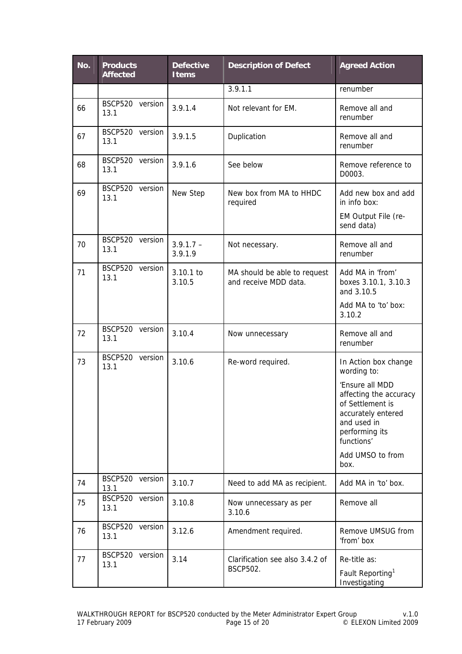| No. | <b>Products</b><br><b>Affected</b> | <b>Defective</b><br><b>Items</b> | <b>Description of Defect</b>                          | <b>Agreed Action</b>                                                                                                                                                                                  |
|-----|------------------------------------|----------------------------------|-------------------------------------------------------|-------------------------------------------------------------------------------------------------------------------------------------------------------------------------------------------------------|
|     |                                    |                                  | 3.9.1.1                                               | renumber                                                                                                                                                                                              |
| 66  | <b>BSCP520</b><br>version<br>13.1  | 3.9.1.4                          | Not relevant for EM.                                  | Remove all and<br>renumber                                                                                                                                                                            |
| 67  | BSCP520 version<br>13.1            | 3.9.1.5                          | Duplication                                           | Remove all and<br>renumber                                                                                                                                                                            |
| 68  | <b>BSCP520</b><br>version<br>13.1  | 3.9.1.6                          | See below                                             | Remove reference to<br>D0003.                                                                                                                                                                         |
| 69  | BSCP520 version<br>13.1            | New Step                         | New box from MA to HHDC<br>required                   | Add new box and add<br>in info box:<br>EM Output File (re-<br>send data)                                                                                                                              |
| 70  | BSCP520 version<br>13.1            | $3.9.1.7 -$<br>3.9.1.9           | Not necessary.                                        | Remove all and<br>renumber                                                                                                                                                                            |
| 71  | BSCP520 version<br>13.1            | 3.10.1 to<br>3.10.5              | MA should be able to request<br>and receive MDD data. | Add MA in 'from'<br>boxes 3.10.1, 3.10.3<br>and 3.10.5<br>Add MA to 'to' box:<br>3.10.2                                                                                                               |
| 72  | <b>BSCP520</b><br>version<br>13.1  | 3.10.4                           | Now unnecessary                                       | Remove all and<br>renumber                                                                                                                                                                            |
| 73  | <b>BSCP520</b><br>version<br>13.1  | 3.10.6                           | Re-word required.                                     | In Action box change<br>wording to:<br>'Ensure all MDD<br>affecting the accuracy<br>of Settlement is<br>accurately entered<br>and used in<br>performing its<br>functions'<br>Add UMSO to from<br>box. |
| 74  | <b>BSCP520</b><br>version<br>13.1  | 3.10.7                           | Need to add MA as recipient.                          | Add MA in 'to' box.                                                                                                                                                                                   |
| 75  | <b>BSCP520</b><br>version<br>13.1  | 3.10.8                           | Now unnecessary as per<br>3.10.6                      | Remove all                                                                                                                                                                                            |
| 76  | <b>BSCP520</b><br>version<br>13.1  | 3.12.6                           | Amendment required.                                   | Remove UMSUG from<br>'from' box                                                                                                                                                                       |
| 77  | <b>BSCP520</b><br>version<br>13.1  | 3.14                             | Clarification see also 3.4.2 of<br><b>BSCP502.</b>    | Re-title as:<br>Fault Reporting <sup>1</sup><br>Investigating                                                                                                                                         |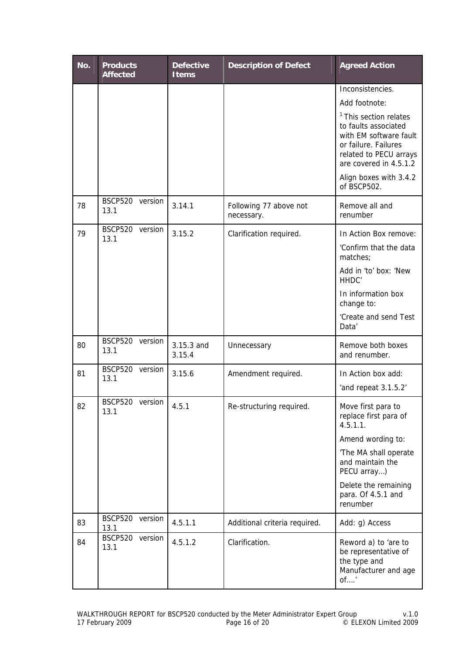| No. | <b>Products</b><br><b>Affected</b> | <b>Defective</b><br><b>Items</b> | <b>Description of Defect</b>         | <b>Agreed Action</b>                                                                                                                                            |
|-----|------------------------------------|----------------------------------|--------------------------------------|-----------------------------------------------------------------------------------------------------------------------------------------------------------------|
|     |                                    |                                  |                                      | Inconsistencies.<br>Add footnote:                                                                                                                               |
|     |                                    |                                  |                                      | <sup>1</sup> This section relates<br>to faults associated<br>with EM software fault<br>or failure. Failures<br>related to PECU arrays<br>are covered in 4.5.1.2 |
|     |                                    |                                  |                                      | Align boxes with 3.4.2<br>of BSCP502.                                                                                                                           |
| 78  | BSCP520 version<br>13.1            | 3.14.1                           | Following 77 above not<br>necessary. | Remove all and<br>renumber                                                                                                                                      |
| 79  | BSCP520 version<br>13.1            | 3.15.2                           | Clarification required.              | In Action Box remove:<br>'Confirm that the data<br>matches;<br>Add in 'to' box: 'New<br>HHDC'                                                                   |
|     |                                    |                                  |                                      | In information box<br>change to:<br>'Create and send Test<br>Data'                                                                                              |
| 80  | BSCP520 version<br>13.1            | 3.15.3 and<br>3.15.4             | Unnecessary                          | Remove both boxes<br>and renumber.                                                                                                                              |
| 81  | BSCP520 version<br>13.1            | 3.15.6                           | Amendment required.                  | In Action box add:<br>'and repeat 3.1.5.2'                                                                                                                      |
| 82  | BSCP520 version<br>13.1            | 4.5.1                            | Re-structuring required.             | Move first para to<br>replace first para of<br>4.5.1.1.                                                                                                         |
|     |                                    |                                  |                                      | Amend wording to:<br>'The MA shall operate<br>and maintain the<br>PECU array)                                                                                   |
|     |                                    |                                  |                                      | Delete the remaining<br>para. Of 4.5.1 and<br>renumber                                                                                                          |
| 83  | BSCP520 version<br>13.1            | 4.5.1.1                          | Additional criteria required.        | Add: g) Access                                                                                                                                                  |
| 84  | BSCP520 version<br>13.1            | 4.5.1.2                          | Clarification.                       | Reword a) to 'are to<br>be representative of<br>the type and<br>Manufacturer and age<br>of'                                                                     |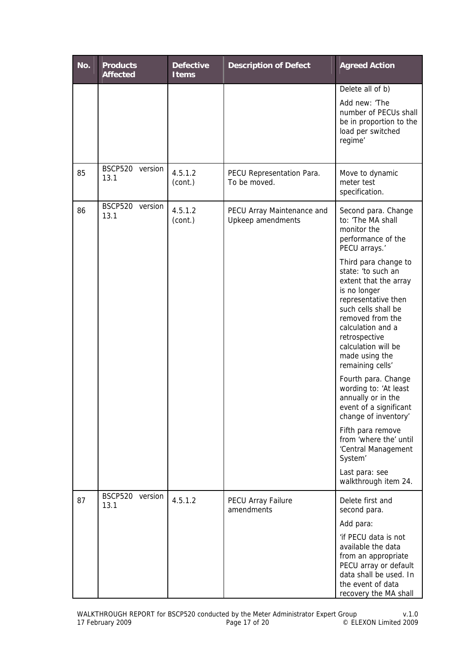| No. | <b>Products</b><br><b>Affected</b> | <b>Defective</b><br><b>Items</b> | <b>Description of Defect</b>                    | <b>Agreed Action</b>                                                                                                                                                                                                                                                                                                                                                                                                                                                                                                              |
|-----|------------------------------------|----------------------------------|-------------------------------------------------|-----------------------------------------------------------------------------------------------------------------------------------------------------------------------------------------------------------------------------------------------------------------------------------------------------------------------------------------------------------------------------------------------------------------------------------------------------------------------------------------------------------------------------------|
|     |                                    |                                  |                                                 | Delete all of b)<br>Add new: 'The<br>number of PECUs shall<br>be in proportion to the<br>load per switched<br>regime'                                                                                                                                                                                                                                                                                                                                                                                                             |
| 85  | <b>BSCP520</b><br>version<br>13.1  | 4.5.1.2<br>(cont.)               | PECU Representation Para.<br>To be moved.       | Move to dynamic<br>meter test<br>specification.                                                                                                                                                                                                                                                                                                                                                                                                                                                                                   |
| 86  | <b>BSCP520</b><br>version<br>13.1  | 4.5.1.2<br>(cont.)               | PECU Array Maintenance and<br>Upkeep amendments | Second para. Change<br>to: 'The MA shall<br>monitor the<br>performance of the<br>PECU arrays.'<br>Third para change to<br>state: 'to such an<br>extent that the array<br>is no longer<br>representative then<br>such cells shall be<br>removed from the<br>calculation and a<br>retrospective<br>calculation will be<br>made using the<br>remaining cells'<br>Fourth para. Change<br>wording to: 'At least<br>annually or in the<br>event of a significant<br>change of inventory'<br>Fifth para remove<br>from 'where the' until |
|     |                                    |                                  |                                                 | 'Central Management<br>System <sup>'</sup><br>Last para: see<br>walkthrough item 24.                                                                                                                                                                                                                                                                                                                                                                                                                                              |
| 87  | BSCP520 version<br>13.1            | 4.5.1.2                          | <b>PECU Array Failure</b><br>amendments         | Delete first and<br>second para.<br>Add para:<br>'if PECU data is not<br>available the data<br>from an appropriate<br>PECU array or default<br>data shall be used. In<br>the event of data<br>recovery the MA shall                                                                                                                                                                                                                                                                                                               |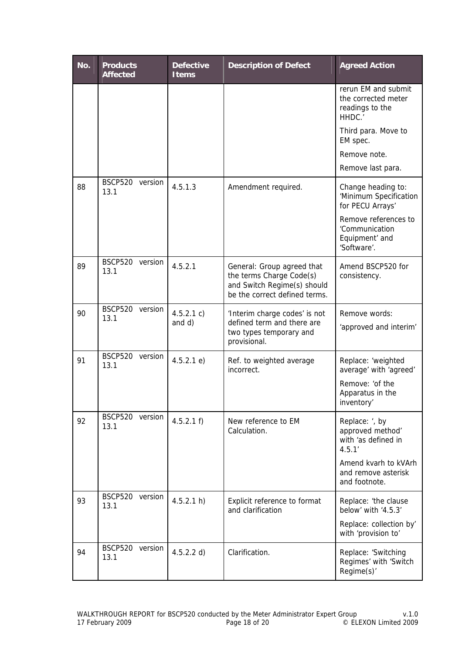| No. | <b>Products</b><br><b>Affected</b> | <b>Defective</b><br><b>Items</b> | <b>Description of Defect</b>                                                                                           | <b>Agreed Action</b>                                                    |
|-----|------------------------------------|----------------------------------|------------------------------------------------------------------------------------------------------------------------|-------------------------------------------------------------------------|
|     |                                    |                                  |                                                                                                                        | rerun EM and submit<br>the corrected meter<br>readings to the<br>HHDC.  |
|     |                                    |                                  |                                                                                                                        | Third para. Move to<br>EM spec.                                         |
|     |                                    |                                  |                                                                                                                        | Remove note.                                                            |
|     |                                    |                                  |                                                                                                                        | Remove last para.                                                       |
| 88  | BSCP520 version<br>13.1            | 4.5.1.3                          | Amendment required.                                                                                                    | Change heading to:<br>'Minimum Specification<br>for PECU Arrays'        |
|     |                                    |                                  |                                                                                                                        | Remove references to<br>'Communication<br>Equipment' and<br>'Software'. |
| 89  | <b>BSCP520</b><br>version<br>13.1  | 4.5.2.1                          | General: Group agreed that<br>the terms Charge Code(s)<br>and Switch Regime(s) should<br>be the correct defined terms. | Amend BSCP520 for<br>consistency.                                       |
| 90  | BSCP520 version<br>13.1            | 4.5.2.1 c)                       | 'Interim charge codes' is not                                                                                          | Remove words:                                                           |
|     |                                    | and d)                           | defined term and there are<br>two types temporary and<br>provisional.                                                  | 'approved and interim'                                                  |
| 91  | <b>BSCP520</b><br>version<br>13.1  | 4.5.2.1 e                        | Ref. to weighted average<br>incorrect.                                                                                 | Replace: 'weighted<br>average' with 'agreed'                            |
|     |                                    |                                  |                                                                                                                        | Remove: 'of the<br>Apparatus in the<br>inventory'                       |
| 92  | BSCP520 version<br>13.1            | 4.5.2.1 f                        | New reference to EM<br>Calculation.                                                                                    | Replace: ', by<br>approved method'<br>with 'as defined in<br>4.5.1'     |
|     |                                    |                                  |                                                                                                                        | Amend kvarh to kVArh<br>and remove asterisk<br>and footnote.            |
| 93  | <b>BSCP520</b><br>version<br>13.1  | 4.5.2.1 h                        | Explicit reference to format<br>and clarification                                                                      | Replace: 'the clause<br>below' with '4.5.3'                             |
|     |                                    |                                  |                                                                                                                        | Replace: collection by'<br>with 'provision to'                          |
| 94  | <b>BSCP520</b><br>version<br>13.1  | 4.5.2.2 d)                       | Clarification.                                                                                                         | Replace: 'Switching<br>Regimes' with 'Switch<br>Regime(s)'              |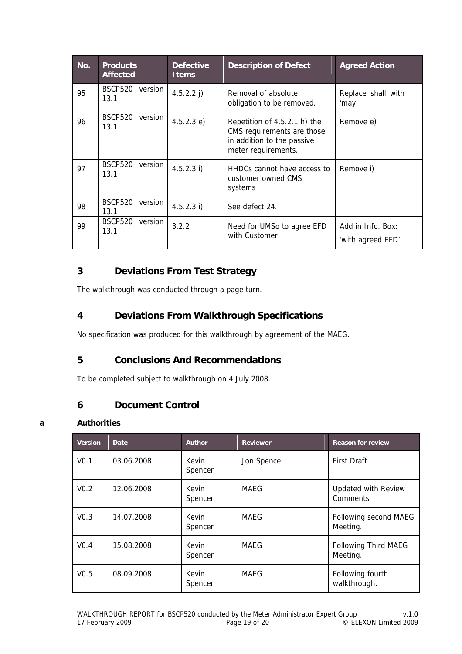| No. | <b>Products</b><br><b>Affected</b> | <b>Defective</b><br><b>Items</b> | <b>Description of Defect</b>                                                                                    | <b>Agreed Action</b>                   |
|-----|------------------------------------|----------------------------------|-----------------------------------------------------------------------------------------------------------------|----------------------------------------|
| 95  | BSCP520<br>version<br>13.1         | 4.5.2.2 j)                       | Removal of absolute<br>obligation to be removed.                                                                | Replace 'shall' with<br>'may'          |
| 96  | <b>BSCP520</b><br>version<br>13.1  | 4.5.2.3 e)                       | Repetition of 4.5.2.1 h) the<br>CMS requirements are those<br>in addition to the passive<br>meter requirements. | Remove e)                              |
| 97  | <b>BSCP520</b><br>version<br>13.1  | $4.5.2.3$ i)                     | HHDCs cannot have access to<br>customer owned CMS<br>systems                                                    | Remove i)                              |
| 98  | <b>BSCP520</b><br>version<br>13.1  | 4.5.2.3 i)                       | See defect 24.                                                                                                  |                                        |
| 99  | <b>BSCP520</b><br>version<br>13.1  | 3.2.2                            | Need for UMSo to agree EFD<br>with Customer                                                                     | Add in Info. Box:<br>'with agreed EFD' |

# **3 Deviations From Test Strategy**

The walkthrough was conducted through a page turn.

# **4 Deviations From Walkthrough Specifications**

No specification was produced for this walkthrough by agreement of the MAEG.

# **5 Conclusions And Recommendations**

To be completed subject to walkthrough on 4 July 2008.

## **6 Document Control**

#### **a Authorities**

| <b>Version</b>   | Date       | <b>Author</b>    | <b>Reviewer</b> | <b>Reason for review</b>               |
|------------------|------------|------------------|-----------------|----------------------------------------|
| V <sub>0.1</sub> | 03.06.2008 | Kevin<br>Spencer | Jon Spence      | <b>First Draft</b>                     |
| V <sub>0.2</sub> | 12.06.2008 | Kevin<br>Spencer | MAEG            | <b>Updated with Review</b><br>Comments |
| V <sub>0.3</sub> | 14.07.2008 | Kevin<br>Spencer | MAEG            | Following second MAEG<br>Meeting.      |
| V <sub>0.4</sub> | 15.08.2008 | Kevin<br>Spencer | MAFG            | Following Third MAEG<br>Meeting.       |
| V <sub>0.5</sub> | 08.09.2008 | Kevin<br>Spencer | MAEG            | Following fourth<br>walkthrough.       |